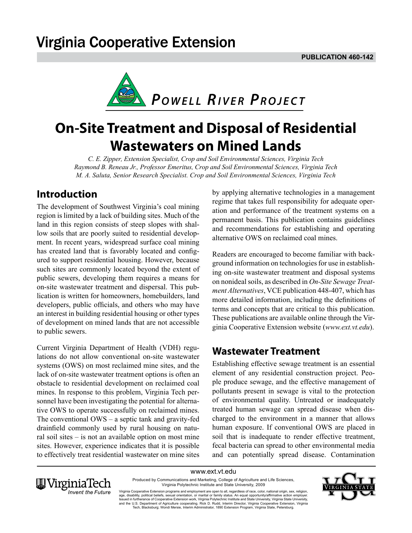# **Virginia Cooperative Extension**



# **On-Site Treatment and Disposal of Residential Wastewaters on Mined Lands**

*C. E. Zipper, Extension Specialist, Crop and Soil Environmental Sciences, Virginia Tech Raymond B. Reneau Jr., Professor Emeritus, Crop and Soil Environmental Sciences, Virginia Tech M. A. Saluta, Senior Research Specialist. Crop and Soil Environmental Sciences, Virginia Tech* 

## **Introduction**

The development of Southwest Virginia's coal mining region is limited by a lack of building sites. Much of the land in this region consists of steep slopes with shallow soils that are poorly suited to residential development. In recent years, widespread surface coal mining has created land that is favorably located and configured to support residential housing. However, because such sites are commonly located beyond the extent of public sewers, developing them requires a means for on-site wastewater treatment and dispersal. This publication is written for homeowners, homebuilders, land developers, public officials, and others who may have an interest in building residential housing or other types of development on mined lands that are not accessible to public sewers.

Current Virginia Department of Health (VDH) regulations do not allow conventional on-site wastewater systems (OWS) on most reclaimed mine sites, and the lack of on-site wastewater treatment options is often an obstacle to residential development on reclaimed coal mines. In response to this problem, Virginia Tech personnel have been investigating the potential for alternative OWS to operate successfully on reclaimed mines. The conventional OWS – a septic tank and gravity-fed drainfield commonly used by rural housing on natural soil sites – is not an available option on most mine sites. However, experience indicates that it is possible to effectively treat residential wastewater on mine sites by applying alternative technologies in a management regime that takes full responsibility for adequate operation and performance of the treatment systems on a permanent basis. This publication contains guidelines and recommendations for establishing and operating alternative OWS on reclaimed coal mines.

Readers are encouraged to become familiar with background information on technologies for use in establishing on-site wastewater treatment and disposal systems on nonideal soils, as described in *On-Site Sewage Treatment Alternatives*, VCE publication 448-407, which has more detailed information, including the definitions of terms and concepts that are critical to this publication. These publications are available online through the Virginia Cooperative Extension website (*www.ext.vt.edu*).

### **Wastewater Treatment**

Establishing effective sewage treatment is an essential element of any residential construction project. People produce sewage, and the effective management of pollutants present in sewage is vital to the protection of environmental quality. Untreated or inadequately treated human sewage can spread disease when discharged to the environment in a manner that allows human exposure. If conventional OWS are placed in soil that is inadequate to render effective treatment, fecal bacteria can spread to other environmental media and can potentially spread disease. Contamination

www.ext.vt.edu Produced by Communications and Marketing, College of Agriculture and Life Sciences, Virginia Polytechnic Institute and State University, 2009



Virginia Cooperative Extension programs and employment are open to all, regardless of race, color, national origin, sex, religion,<br>age, disability, political beliefs, sexual orientation, or marital or family status. An equ and the U.S. Department of Agriculture cooperating. Rick D. Rudd, Interim Director, Virginia Cooperative Extension, Virginia Tech, Blacksburg; Wondi Mersie, Interim Administrator, 1890 Extension Program, Virginia State, Petersburg.

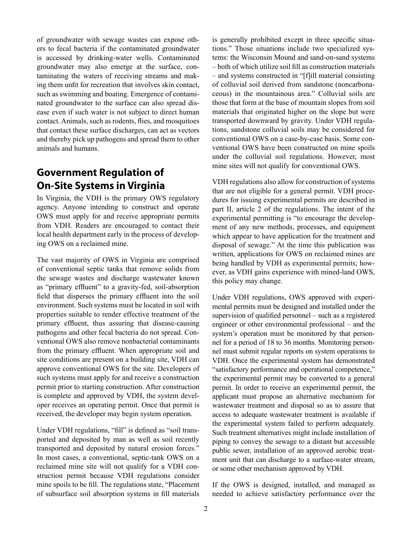of groundwater with sewage wastes can expose others to fecal bacteria if the contaminated groundwater is accessed by drinking-water wells. Contaminated groundwater may also emerge at the surface, contaminating the waters of receiving streams and making them unfit for recreation that involves skin contact, such as swimming and boating. Emergence of contaminated groundwater to the surface can also spread disease even if such water is not subject to direct human contact. Animals, such as rodents, flies, and mosquitoes that contact these surface discharges, can act as vectors and thereby pick up pathogens and spread them to other animals and humans.

# **Government Regulation of On-Site Systems in Virginia**

In Virginia, the VDH is the primary OWS regulatory agency. Anyone intending to construct and operate OWS must apply for and receive appropriate permits from VDH. Readers are encouraged to contact their local health department early in the process of developing OWS on a reclaimed mine.

The vast majority of OWS in Virginia are comprised of conventional septic tanks that remove solids from the sewage wastes and discharge wastewater known as "primary effluent" to a gravity-fed, soil-absorption field that disperses the primary effluent into the soil environment. Such systems must be located in soil with properties suitable to render effective treatment of the primary effluent, thus assuring that disease-causing pathogens and other fecal bacteria do not spread. Conventional OWS also remove nonbacterial contaminants from the primary effluent. When appropriate soil and site conditions are present on a building site, VDH can approve conventional OWS for the site. Developers of such systems must apply for and receive a construction permit prior to starting construction. After construction is complete and approved by VDH, the system developer receives an operating permit. Once that permit is received, the developer may begin system operation.

Under VDH regulations, "fill" is defined as "soil transported and deposited by man as well as soil recently transported and deposited by natural erosion forces." In most cases, a conventional, septic-tank OWS on a reclaimed mine site will not qualify for a VDH construction permit because VDH regulations consider mine spoils to be fill. The regulations state, "Placement of subsurface soil absorption systems in fill materials

is generally prohibited except in three specific situations." Those situations include two specialized systems: the Wisconsin Mound and sand-on-sand systems – both of which utilize soil fill as construction materials – and systems constructed in "[f]ill material consisting of colluvial soil derived from sandstone (noncarbonaceous) in the mountainous area." Colluvial soils are those that form at the base of mountain slopes from soil materials that originated higher on the slope but were transported downward by gravity. Under VDH regulations, sandstone colluvial soils may be considered for conventional OWS on a case-by-case basis. Some conventional OWS have been constructed on mine spoils under the colluvial soil regulations. However, most mine sites will not qualify for conventional OWS.

VDH regulations also allow for construction of systems that are not eligible for a general permit. VDH procedures for issuing experimental permits are described in part II, article 2 of the regulations. The intent of the experimental permitting is "to encourage the development of any new methods, processes, and equipment which appear to have application for the treatment and disposal of sewage." At the time this publication was written, applications for OWS on reclaimed mines are being handled by VDH as experimental permits; however, as VDH gains experience with mined-land OWS, this policy may change.

Under VDH regulations, OWS approved with experimental permits must be designed and installed under the supervision of qualified personnel – such as a registered engineer or other environmental professional – and the system's operation must be monitored by that personnel for a period of 18 to 36 months. Monitoring personnel must submit regular reports on system operations to VDH. Once the experimental system has demonstrated "satisfactory performance and operational competence," the experimental permit may be converted to a general permit. In order to receive an experimental permit, the applicant must propose an alternative mechanism for wastewater treatment and disposal so as to assure that access to adequate wastewater treatment is available if the experimental system failed to perform adequately. Such treatment alternatives might include installation of piping to convey the sewage to a distant but accessible public sewer, installation of an approved aerobic treatment unit that can discharge to a surface-water stream, or some other mechanism approved by VDH.

If the OWS is designed, installed, and managed as needed to achieve satisfactory performance over the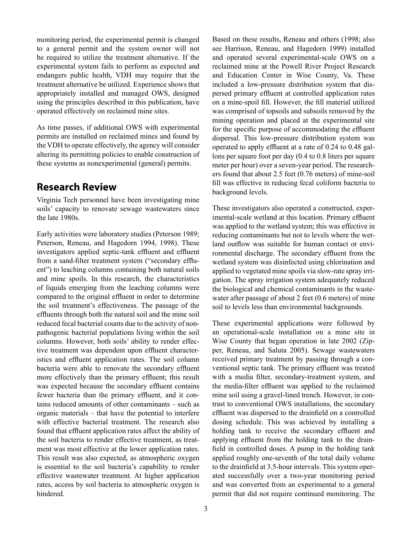monitoring period, the experimental permit is changed to a general permit and the system owner will not be required to utilize the treatment alternative. If the experimental system fails to perform as expected and endangers public health, VDH may require that the treatment alternative be utilized. Experience shows that appropriately installed and managed OWS, designed using the principles described in this publication, have operated effectively on reclaimed mine sites.

As time passes, if additional OWS with experimental permits are installed on reclaimed mines and found by the VDH to operate effectively, the agency will consider altering its permitting policies to enable construction of these systems as nonexperimental (general) permits.

### **Research Review**

Virginia Tech personnel have been investigating mine soils' capacity to renovate sewage wastewaters since the late 1980s.

Early activities were laboratory studies (Peterson 1989; Peterson, Reneau, and Hagedorn 1994, 1998). These investigators applied septic-tank effluent and effluent from a sand-filter treatment system ("secondary effluent") to leaching columns containing both natural soils and mine spoils. In this research, the characteristics of liquids emerging from the leaching columns were compared to the original effluent in order to determine the soil treatment's effectiveness. The passage of the effluents through both the natural soil and the mine soil reduced fecal bacterial counts due to the activity of nonpathogenic bacterial populations living within the soil columns. However, both soils' ability to render effective treatment was dependent upon effluent characteristics and effluent application rates. The soil column bacteria were able to renovate the secondary effluent more effectively than the primary effluent; this result was expected because the secondary effluent contains fewer bacteria than the primary effluent, and it contains reduced amounts of other contaminants – such as organic materials – that have the potential to interfere with effective bacterial treatment. The research also found that effluent application rates affect the ability of the soil bacteria to render effective treatment, as treatment was most effective at the lower application rates. This result was also expected, as atmospheric oxygen is essential to the soil bacteria's capability to render effective wastewater treatment. At higher application rates, access by soil bacteria to atmospheric oxygen is hindered.

Based on these results, Reneau and others (1998; also see Harrison, Reneau, and Hagedorn 1999) installed and operated several experimental-scale OWS on a reclaimed mine at the Powell River Project Research and Education Center in Wise County, Va. These included a low-pressure distribution system that dispersed primary effluent at controlled application rates on a mine-spoil fill. However, the fill material utilized was comprised of topsoils and subsoils removed by the mining operation and placed at the experimental site for the specific purpose of accommodating the effluent dispersal. This low-pressure distribution system was operated to apply effluent at a rate of 0.24 to 0.48 gallons per square foot per day (0.4 to 0.8 liters per square meter per hour) over a seven-year period. The researchers found that about 2.5 feet (0.76 meters) of mine-soil fill was effective in reducing fecal coliform bacteria to background levels.

These investigators also operated a constructed, experimental-scale wetland at this location. Primary effluent was applied to the wetland system; this was effective in reducing contaminants but not to levels where the wetland outflow was suitable for human contact or environmental discharge. The secondary effluent from the wetland system was disinfected using chlorination and applied to vegetated mine spoils via slow-rate spray irrigation. The spray irrigation system adequately reduced the biological and chemical contaminants in the wastewater after passage of about 2 feet (0.6 meters) of mine soil to levels less than environmental backgrounds.

These experimental applications were followed by an operational-scale installation on a mine site in Wise County that began operation in late 2002 (Zipper, Reneau, and Saluta 2005). Sewage wastewaters received primary treatment by passing through a conventional septic tank. The primary effluent was treated with a media filter, secondary-treatment system, and the media-filter effluent was applied to the reclaimed mine soil using a gravel-lined trench. However, in contrast to conventional OWS installations, the secondary effluent was dispersed to the drainfield on a controlled dosing schedule. This was achieved by installing a holding tank to receive the secondary effluent and applying effluent from the holding tank to the drainfield in controlled doses. A pump in the holding tank applied roughly one-seventh of the total daily volume to the drainfield at 3.5-hour intervals. This system operated successfully over a two-year monitoring period and was converted from an experimental to a general permit that did not require continued monitoring. The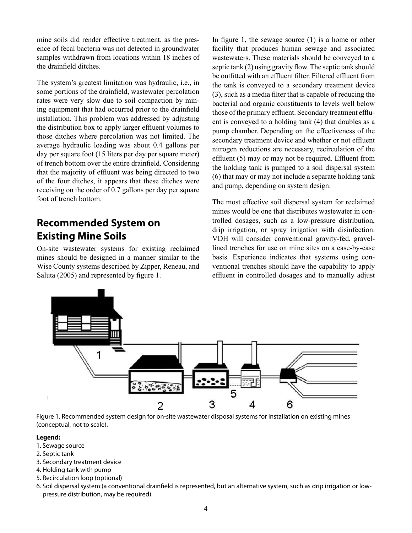mine soils did render effective treatment, as the presence of fecal bacteria was not detected in groundwater samples withdrawn from locations within 18 inches of the drainfield ditches.

The system's greatest limitation was hydraulic, i.e., in some portions of the drainfield, wastewater percolation rates were very slow due to soil compaction by mining equipment that had occurred prior to the drainfield installation. This problem was addressed by adjusting the distribution box to apply larger effluent volumes to those ditches where percolation was not limited. The average hydraulic loading was about 0.4 gallons per day per square foot (15 liters per day per square meter) of trench bottom over the entire drainfield. Considering that the majority of effluent was being directed to two of the four ditches, it appears that these ditches were receiving on the order of 0.7 gallons per day per square foot of trench bottom.

## **Recommended System on Existing Mine Soils**

On-site wastewater systems for existing reclaimed mines should be designed in a manner similar to the Wise County systems described by Zipper, Reneau, and Saluta (2005) and represented by figure 1.

In figure 1, the sewage source (1) is a home or other facility that produces human sewage and associated wastewaters. These materials should be conveyed to a septic tank (2) using gravity flow. The septic tank should be outfitted with an effluent filter. Filtered effluent from the tank is conveyed to a secondary treatment device (3), such as a media filter that is capable of reducing the bacterial and organic constituents to levels well below those of the primary effluent. Secondary treatment effluent is conveyed to a holding tank (4) that doubles as a pump chamber. Depending on the effectiveness of the secondary treatment device and whether or not effluent nitrogen reductions are necessary, recirculation of the effluent (5) may or may not be required. Effluent from the holding tank is pumped to a soil dispersal system (6) that may or may not include a separate holding tank and pump, depending on system design.

The most effective soil dispersal system for reclaimed mines would be one that distributes wastewater in controlled dosages, such as a low-pressure distribution, drip irrigation, or spray irrigation with disinfection. VDH will consider conventional gravity-fed, gravellined trenches for use on mine sites on a case-by-case basis. Experience indicates that systems using conventional trenches should have the capability to apply effluent in controlled dosages and to manually adjust



Figure 1. Recommended system design for on-site wastewater disposal systems for installation on existing mines (conceptual, not to scale).

#### **Legend:**

- 1. Sewage source
- 2. Septic tank
- 3. Secondary treatment device
- 4. Holding tank with pump
- 5. Recirculation loop (optional)
- 6. Soil dispersal system (a conventional drainfield is represented, but an alternative system, such as drip irrigation or lowpressure distribution, may be required)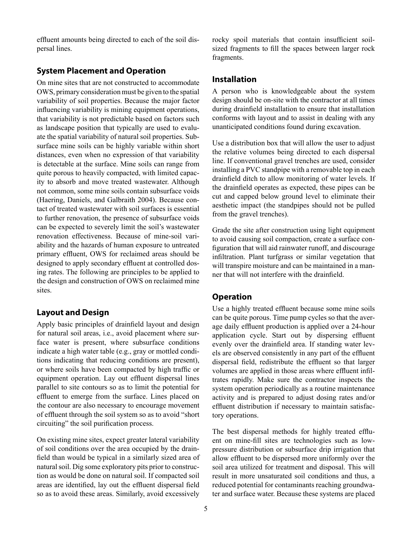effluent amounts being directed to each of the soil dispersal lines.

#### **System Placement and Operation**

On mine sites that are not constructed to accommodate OWS, primary consideration must be given to the spatial variability of soil properties. Because the major factor influencing variability is mining equipment operations, that variability is not predictable based on factors such as landscape position that typically are used to evaluate the spatial variability of natural soil properties. Subsurface mine soils can be highly variable within short distances, even when no expression of that variability is detectable at the surface. Mine soils can range from quite porous to heavily compacted, with limited capacity to absorb and move treated wastewater. Although not common, some mine soils contain subsurface voids (Haering, Daniels, and Galbraith 2004). Because contact of treated wastewater with soil surfaces is essential to further renovation, the presence of subsurface voids can be expected to severely limit the soil's wastewater renovation effectiveness. Because of mine-soil variability and the hazards of human exposure to untreated primary effluent, OWS for reclaimed areas should be designed to apply secondary effluent at controlled dosing rates. The following are principles to be applied to the design and construction of OWS on reclaimed mine sites.

#### **Layout and Design**

Apply basic principles of drainfield layout and design for natural soil areas, i.e., avoid placement where surface water is present, where subsurface conditions indicate a high water table (e.g., gray or mottled conditions indicating that reducing conditions are present), or where soils have been compacted by high traffic or equipment operation. Lay out effluent dispersal lines parallel to site contours so as to limit the potential for effluent to emerge from the surface. Lines placed on the contour are also necessary to encourage movement of effluent through the soil system so as to avoid "short circuiting" the soil purification process.

On existing mine sites, expect greater lateral variability of soil conditions over the area occupied by the drainfield than would be typical in a similarly sized area of natural soil. Dig some exploratory pits prior to construction as would be done on natural soil. If compacted soil areas are identified, lay out the effluent dispersal field so as to avoid these areas. Similarly, avoid excessively rocky spoil materials that contain insufficient soilsized fragments to fill the spaces between larger rock fragments.

#### **Installation**

A person who is knowledgeable about the system design should be on-site with the contractor at all times during drainfield installation to ensure that installation conforms with layout and to assist in dealing with any unanticipated conditions found during excavation.

Use a distribution box that will allow the user to adjust the relative volumes being directed to each dispersal line. If conventional gravel trenches are used, consider installing a PVC standpipe with a removable top in each drainfield ditch to allow monitoring of water levels. If the drainfield operates as expected, these pipes can be cut and capped below ground level to eliminate their aesthetic impact (the standpipes should not be pulled from the gravel trenches).

Grade the site after construction using light equipment to avoid causing soil compaction, create a surface configuration that will aid rainwater runoff, and discourage infiltration. Plant turfgrass or similar vegetation that will transpire moisture and can be maintained in a manner that will not interfere with the drainfield.

#### **Operation**

Use a highly treated effluent because some mine soils can be quite porous. Time pump cycles so that the average daily effluent production is applied over a 24-hour application cycle. Start out by dispersing effluent evenly over the drainfield area. If standing water levels are observed consistently in any part of the effluent dispersal field, redistribute the effluent so that larger volumes are applied in those areas where effluent infiltrates rapidly. Make sure the contractor inspects the system operation periodically as a routine maintenance activity and is prepared to adjust dosing rates and/or effluent distribution if necessary to maintain satisfactory operations.

The best dispersal methods for highly treated effluent on mine-fill sites are technologies such as lowpressure distribution or subsurface drip irrigation that allow effluent to be dispersed more uniformly over the soil area utilized for treatment and disposal. This will result in more unsaturated soil conditions and thus, a reduced potential for contaminants reaching groundwater and surface water. Because these systems are placed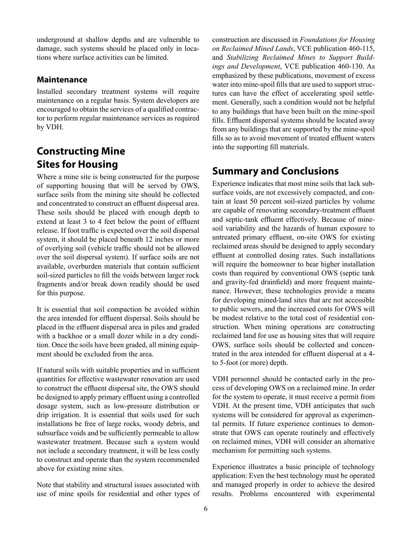underground at shallow depths and are vulnerable to damage, such systems should be placed only in locations where surface activities can be limited.

#### **Maintenance**

Installed secondary treatment systems will require maintenance on a regular basis. System developers are encouraged to obtain the services of a qualified contractor to perform regular maintenance services as required by VDH.

## **Constructing Mine Sites for Housing**

Where a mine site is being constructed for the purpose of supporting housing that will be served by OWS, surface soils from the mining site should be collected and concentrated to construct an effluent dispersal area. These soils should be placed with enough depth to extend at least 3 to 4 feet below the point of effluent release. If foot traffic is expected over the soil dispersal system, it should be placed beneath 12 inches or more of overlying soil (vehicle traffic should not be allowed over the soil dispersal system). If surface soils are not available, overburden materials that contain sufficient soil-sized particles to fill the voids between larger rock fragments and/or break down readily should be used for this purpose.

It is essential that soil compaction be avoided within the area intended for effluent dispersal. Soils should be placed in the effluent dispersal area in piles and graded with a backhoe or a small dozer while in a dry condition. Once the soils have been graded, all mining equipment should be excluded from the area.

If natural soils with suitable properties and in sufficient quantities for effective wastewater renovation are used to construct the effluent dispersal site, the OWS should be designed to apply primary effluent using a controlled dosage system, such as low-pressure distribution or drip irrigation. It is essential that soils used for such installations be free of large rocks, woody debris, and subsurface voids and be sufficiently permeable to allow wastewater treatment. Because such a system would not include a secondary treatment, it will be less costly to construct and operate than the system recommended above for existing mine sites.

Note that stability and structural issues associated with use of mine spoils for residential and other types of construction are discussed in *Foundations for Housing on Reclaimed Mined Lands*, VCE publication 460-115, and *Stabilizing Reclaimed Mines to Support Buildings and Development*, VCE publication 460-130. As emphasized by these publications, movement of excess water into mine-spoil fills that are used to support structures can have the effect of accelerating spoil settlement. Generally, such a condition would not be helpful to any buildings that have been built on the mine-spoil fills. Effluent dispersal systems should be located away from any buildings that are supported by the mine-spoil fills so as to avoid movement of treated effluent waters into the supporting fill materials.

### **Summary and Conclusions**

Experience indicates that most mine soils that lack subsurface voids, are not excessively compacted, and contain at least 50 percent soil-sized particles by volume are capable of renovating secondary-treatment effluent and septic-tank effluent effectively. Because of minesoil variability and the hazards of human exposure to untreated primary effluent, on-site OWS for existing reclaimed areas should be designed to apply secondary effluent at controlled dosing rates. Such installations will require the homeowner to bear higher installation costs than required by conventional OWS (septic tank and gravity-fed drainfield) and more frequent maintenance. However, these technologies provide a means for developing mined-land sites that are not accessible to public sewers, and the increased costs for OWS will be modest relative to the total cost of residential construction. When mining operations are constructing reclaimed land for use as housing sites that will require OWS, surface soils should be collected and concentrated in the area intended for effluent dispersal at a 4 to 5-foot (or more) depth.

VDH personnel should be contacted early in the process of developing OWS on a reclaimed mine. In order for the system to operate, it must receive a permit from VDH. At the present time, VDH anticipates that such systems will be considered for approval as experimental permits. If future experience continues to demonstrate that OWS can operate routinely and effectively on reclaimed mines, VDH will consider an alternative mechanism for permitting such systems.

Experience illustrates a basic principle of technology application: Even the best technology must be operated and managed properly in order to achieve the desired results. Problems encountered with experimental